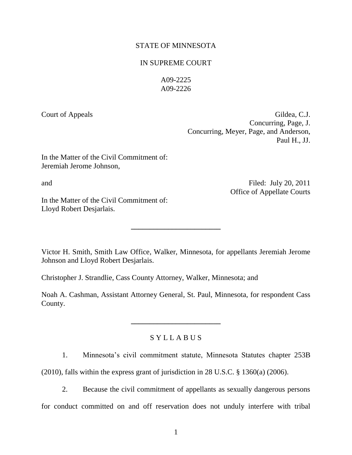# STATE OF MINNESOTA

# IN SUPREME COURT

A09-2225 A09-2226

Court of Appeals Gildea, C.J. Concurring, Page, J. Concurring, Meyer, Page, and Anderson, Paul H., JJ.

In the Matter of the Civil Commitment of: Jeremiah Jerome Johnson,

and

In the Matter of the Civil Commitment of: Lloyd Robert Desjarlais.

Filed: July 20, 2011 Office of Appellate Courts

Victor H. Smith, Smith Law Office, Walker, Minnesota, for appellants Jeremiah Jerome Johnson and Lloyd Robert Desjarlais.

**\_\_\_\_\_\_\_\_\_\_\_\_\_\_\_\_\_\_\_\_\_\_\_\_**

Christopher J. Strandlie, Cass County Attorney, Walker, Minnesota; and

Noah A. Cashman, Assistant Attorney General, St. Paul, Minnesota, for respondent Cass County.

# S Y L L A B U S

**\_\_\_\_\_\_\_\_\_\_\_\_\_\_\_\_\_\_\_\_\_\_\_\_**

1. Minnesota's civil commitment statute, Minnesota Statutes chapter 253B

(2010), falls within the express grant of jurisdiction in 28 U.S.C. § 1360(a) (2006).

2. Because the civil commitment of appellants as sexually dangerous persons for conduct committed on and off reservation does not unduly interfere with tribal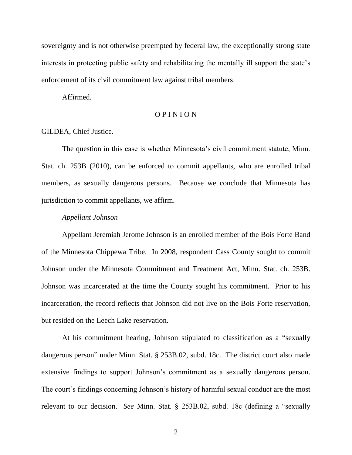sovereignty and is not otherwise preempted by federal law, the exceptionally strong state interests in protecting public safety and rehabilitating the mentally ill support the state's enforcement of its civil commitment law against tribal members.

Affirmed.

# O P I N I O N

### GILDEA, Chief Justice.

The question in this case is whether Minnesota's civil commitment statute, Minn. Stat. ch. 253B (2010), can be enforced to commit appellants, who are enrolled tribal members, as sexually dangerous persons. Because we conclude that Minnesota has jurisdiction to commit appellants, we affirm.

#### *Appellant Johnson*

Appellant Jeremiah Jerome Johnson is an enrolled member of the Bois Forte Band of the Minnesota Chippewa Tribe. In 2008, respondent Cass County sought to commit Johnson under the Minnesota Commitment and Treatment Act, Minn. Stat. ch. 253B. Johnson was incarcerated at the time the County sought his commitment. Prior to his incarceration, the record reflects that Johnson did not live on the Bois Forte reservation, but resided on the Leech Lake reservation.

At his commitment hearing, Johnson stipulated to classification as a "sexually dangerous person" under Minn. Stat. § 253B.02, subd. 18c. The district court also made extensive findings to support Johnson's commitment as a sexually dangerous person. The court's findings concerning Johnson's history of harmful sexual conduct are the most relevant to our decision. *See* Minn. Stat. § 253B.02, subd. 18c (defining a "sexually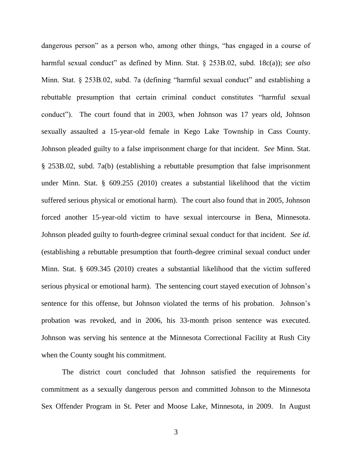dangerous person" as a person who, among other things, "has engaged in a course of harmful sexual conduct" as defined by Minn. Stat. § 253B.02, subd. 18c(a)); *see also* Minn. Stat. § 253B.02, subd. 7a (defining "harmful sexual conduct" and establishing a rebuttable presumption that certain criminal conduct constitutes "harmful sexual conduct"). The court found that in 2003, when Johnson was 17 years old, Johnson sexually assaulted a 15-year-old female in Kego Lake Township in Cass County. Johnson pleaded guilty to a false imprisonment charge for that incident. *See* Minn. Stat. § 253B.02, subd. 7a(b) (establishing a rebuttable presumption that false imprisonment under Minn. Stat. § 609.255 (2010) creates a substantial likelihood that the victim suffered serious physical or emotional harm). The court also found that in 2005, Johnson forced another 15-year-old victim to have sexual intercourse in Bena, Minnesota. Johnson pleaded guilty to fourth-degree criminal sexual conduct for that incident. *See id.* (establishing a rebuttable presumption that fourth-degree criminal sexual conduct under Minn. Stat. § 609.345 (2010) creates a substantial likelihood that the victim suffered serious physical or emotional harm). The sentencing court stayed execution of Johnson's sentence for this offense, but Johnson violated the terms of his probation. Johnson's probation was revoked, and in 2006, his 33-month prison sentence was executed. Johnson was serving his sentence at the Minnesota Correctional Facility at Rush City when the County sought his commitment.

The district court concluded that Johnson satisfied the requirements for commitment as a sexually dangerous person and committed Johnson to the Minnesota Sex Offender Program in St. Peter and Moose Lake, Minnesota, in 2009. In August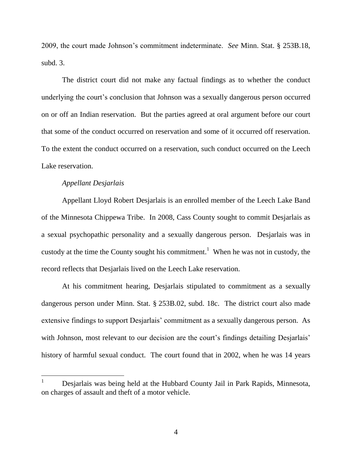2009, the court made Johnson's commitment indeterminate. *See* Minn. Stat. § 253B.18, subd. 3.

The district court did not make any factual findings as to whether the conduct underlying the court's conclusion that Johnson was a sexually dangerous person occurred on or off an Indian reservation. But the parties agreed at oral argument before our court that some of the conduct occurred on reservation and some of it occurred off reservation. To the extent the conduct occurred on a reservation, such conduct occurred on the Leech Lake reservation.

## *Appellant Desjarlais*

Appellant Lloyd Robert Desjarlais is an enrolled member of the Leech Lake Band of the Minnesota Chippewa Tribe. In 2008, Cass County sought to commit Desjarlais as a sexual psychopathic personality and a sexually dangerous person. Desjarlais was in custody at the time the County sought his commitment.<sup>1</sup> When he was not in custody, the record reflects that Desjarlais lived on the Leech Lake reservation.

At his commitment hearing, Desjarlais stipulated to commitment as a sexually dangerous person under Minn. Stat. § 253B.02, subd. 18c. The district court also made extensive findings to support Desjarlais' commitment as a sexually dangerous person. As with Johnson, most relevant to our decision are the court's findings detailing Desjarlais' history of harmful sexual conduct. The court found that in 2002, when he was 14 years

<sup>1</sup> Desjarlais was being held at the Hubbard County Jail in Park Rapids, Minnesota, on charges of assault and theft of a motor vehicle.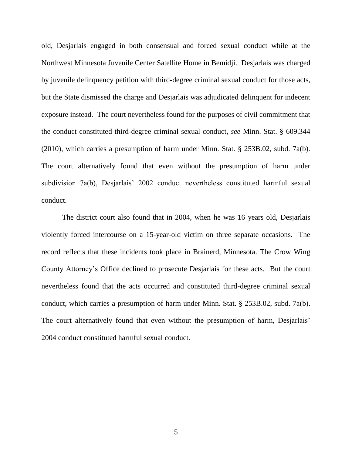old, Desjarlais engaged in both consensual and forced sexual conduct while at the Northwest Minnesota Juvenile Center Satellite Home in Bemidji. Desjarlais was charged by juvenile delinquency petition with third-degree criminal sexual conduct for those acts, but the State dismissed the charge and Desjarlais was adjudicated delinquent for indecent exposure instead. The court nevertheless found for the purposes of civil commitment that the conduct constituted third-degree criminal sexual conduct, *see* Minn. Stat. § 609.344 (2010), which carries a presumption of harm under Minn. Stat. § 253B.02, subd. 7a(b). The court alternatively found that even without the presumption of harm under subdivision 7a(b), Desjarlais' 2002 conduct nevertheless constituted harmful sexual conduct.

The district court also found that in 2004, when he was 16 years old, Desjarlais violently forced intercourse on a 15-year-old victim on three separate occasions. The record reflects that these incidents took place in Brainerd, Minnesota. The Crow Wing County Attorney's Office declined to prosecute Desjarlais for these acts. But the court nevertheless found that the acts occurred and constituted third-degree criminal sexual conduct, which carries a presumption of harm under Minn. Stat. § 253B.02, subd. 7a(b). The court alternatively found that even without the presumption of harm, Desjarlais' 2004 conduct constituted harmful sexual conduct.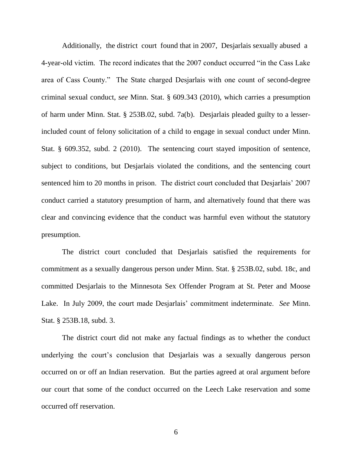Additionally, the district court found that in 2007, Desjarlais sexually abused a 4-year-old victim. The record indicates that the 2007 conduct occurred "in the Cass Lake area of Cass County." The State charged Desjarlais with one count of second-degree criminal sexual conduct, *see* Minn. Stat. § 609.343 (2010), which carries a presumption of harm under Minn. Stat. § 253B.02, subd. 7a(b). Desjarlais pleaded guilty to a lesserincluded count of felony solicitation of a child to engage in sexual conduct under Minn. Stat. § 609.352, subd. 2 (2010). The sentencing court stayed imposition of sentence, subject to conditions, but Desjarlais violated the conditions, and the sentencing court sentenced him to 20 months in prison. The district court concluded that Desjarlais' 2007 conduct carried a statutory presumption of harm, and alternatively found that there was clear and convincing evidence that the conduct was harmful even without the statutory presumption.

The district court concluded that Desjarlais satisfied the requirements for commitment as a sexually dangerous person under Minn. Stat. § 253B.02, subd. 18c, and committed Desjarlais to the Minnesota Sex Offender Program at St. Peter and Moose Lake. In July 2009, the court made Desjarlais' commitment indeterminate. *See* Minn. Stat. § 253B.18, subd. 3.

The district court did not make any factual findings as to whether the conduct underlying the court's conclusion that Desjarlais was a sexually dangerous person occurred on or off an Indian reservation. But the parties agreed at oral argument before our court that some of the conduct occurred on the Leech Lake reservation and some occurred off reservation.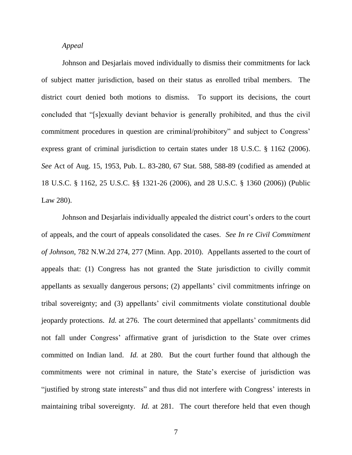#### *Appeal*

Johnson and Desjarlais moved individually to dismiss their commitments for lack of subject matter jurisdiction, based on their status as enrolled tribal members. The district court denied both motions to dismiss. To support its decisions, the court concluded that "[s]exually deviant behavior is generally prohibited, and thus the civil commitment procedures in question are criminal/prohibitory" and subject to Congress' express grant of criminal jurisdiction to certain states under 18 U.S.C. § 1162 (2006). *See* Act of Aug. 15, 1953, Pub. L. 83-280, 67 Stat. 588, 588-89 (codified as amended at 18 U.S.C. § 1162, 25 U.S.C. §§ 1321-26 (2006), and 28 U.S.C. § 1360 (2006)) (Public Law 280).

Johnson and Desjarlais individually appealed the district court's orders to the court of appeals, and the court of appeals consolidated the cases. *See In re Civil Commitment of Johnson*, 782 N.W.2d 274, 277 (Minn. App. 2010). Appellants asserted to the court of appeals that: (1) Congress has not granted the State jurisdiction to civilly commit appellants as sexually dangerous persons; (2) appellants' civil commitments infringe on tribal sovereignty; and (3) appellants' civil commitments violate constitutional double jeopardy protections. *Id.* at 276. The court determined that appellants' commitments did not fall under Congress' affirmative grant of jurisdiction to the State over crimes committed on Indian land. *Id.* at 280. But the court further found that although the commitments were not criminal in nature, the State's exercise of jurisdiction was "justified by strong state interests" and thus did not interfere with Congress' interests in maintaining tribal sovereignty. *Id.* at 281. The court therefore held that even though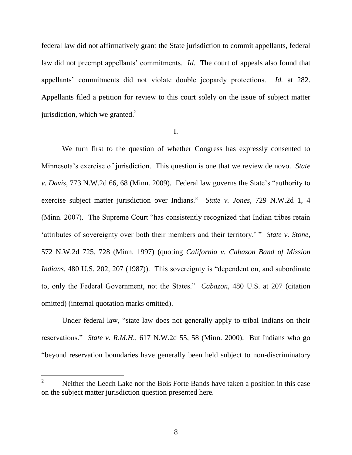federal law did not affirmatively grant the State jurisdiction to commit appellants, federal law did not preempt appellants' commitments. *Id.* The court of appeals also found that appellants' commitments did not violate double jeopardy protections. *Id.* at 282. Appellants filed a petition for review to this court solely on the issue of subject matter jurisdiction, which we granted. $2$ 

I.

We turn first to the question of whether Congress has expressly consented to Minnesota's exercise of jurisdiction. This question is one that we review de novo. *State v. Davis*, 773 N.W.2d 66, 68 (Minn. 2009). Federal law governs the State's "authority to exercise subject matter jurisdiction over Indians." *State v. Jones*, 729 N.W.2d 1, 4 (Minn. 2007). The Supreme Court "has consistently recognized that Indian tribes retain 'attributes of sovereignty over both their members and their territory.' " *State v. Stone*, 572 N.W.2d 725, 728 (Minn. 1997) (quoting *California v. Cabazon Band of Mission Indians*, 480 U.S. 202, 207 (1987)). This sovereignty is "dependent on, and subordinate to, only the Federal Government, not the States." *Cabazon*, 480 U.S. at 207 (citation omitted) (internal quotation marks omitted).

Under federal law, "state law does not generally apply to tribal Indians on their reservations." *State v. R.M.H.*, 617 N.W.2d 55, 58 (Minn. 2000). But Indians who go "beyond reservation boundaries have generally been held subject to non-discriminatory

 $\overline{2}$ <sup>2</sup> Neither the Leech Lake nor the Bois Forte Bands have taken a position in this case on the subject matter jurisdiction question presented here.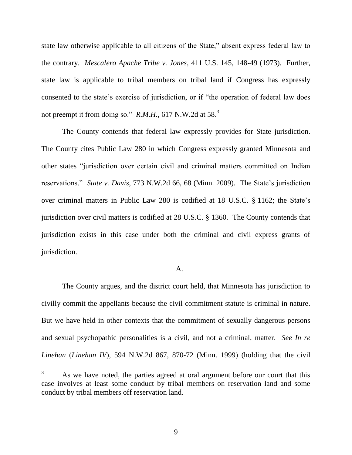state law otherwise applicable to all citizens of the State," absent express federal law to the contrary. *Mescalero Apache Tribe v. Jones*, 411 U.S. 145, 148-49 (1973). Further, state law is applicable to tribal members on tribal land if Congress has expressly consented to the state's exercise of jurisdiction, or if "the operation of federal law does not preempt it from doing so." *R.M.H.*, 617 N.W.2d at 58.<sup>3</sup>

The County contends that federal law expressly provides for State jurisdiction. The County cites Public Law 280 in which Congress expressly granted Minnesota and other states "jurisdiction over certain civil and criminal matters committed on Indian reservations." *State v. Davis*, 773 N.W.2d 66, 68 (Minn. 2009). The State's jurisdiction over criminal matters in Public Law 280 is codified at 18 U.S.C. § 1162; the State's jurisdiction over civil matters is codified at 28 U.S.C. § 1360. The County contends that jurisdiction exists in this case under both the criminal and civil express grants of jurisdiction.

#### A.

The County argues, and the district court held, that Minnesota has jurisdiction to civilly commit the appellants because the civil commitment statute is criminal in nature. But we have held in other contexts that the commitment of sexually dangerous persons and sexual psychopathic personalities is a civil, and not a criminal, matter. *See In re Linehan* (*Linehan IV*), 594 N.W.2d 867, 870-72 (Minn. 1999) (holding that the civil

 $3<sup>1</sup>$ As we have noted, the parties agreed at oral argument before our court that this case involves at least some conduct by tribal members on reservation land and some conduct by tribal members off reservation land.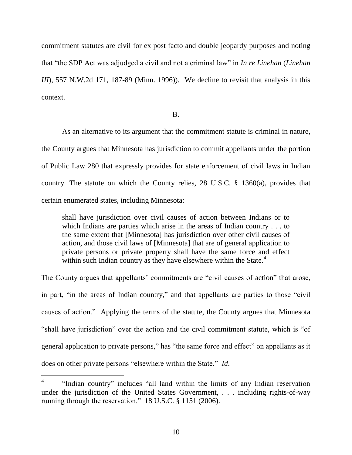commitment statutes are civil for ex post facto and double jeopardy purposes and noting that "the SDP Act was adjudged a civil and not a criminal law" in *In re Linehan* (*Linehan III*), 557 N.W.2d 171, 187-89 (Minn. 1996)). We decline to revisit that analysis in this context.

#### B.

As an alternative to its argument that the commitment statute is criminal in nature, the County argues that Minnesota has jurisdiction to commit appellants under the portion of Public Law 280 that expressly provides for state enforcement of civil laws in Indian country. The statute on which the County relies, 28 U.S.C. § 1360(a), provides that certain enumerated states, including Minnesota:

shall have jurisdiction over civil causes of action between Indians or to which Indians are parties which arise in the areas of Indian country . . . to the same extent that [Minnesota] has jurisdiction over other civil causes of action, and those civil laws of [Minnesota] that are of general application to private persons or private property shall have the same force and effect within such Indian country as they have elsewhere within the State.<sup>4</sup>

The County argues that appellants' commitments are "civil causes of action" that arose, in part, "in the areas of Indian country," and that appellants are parties to those "civil causes of action." Applying the terms of the statute, the County argues that Minnesota "shall have jurisdiction" over the action and the civil commitment statute, which is "of general application to private persons," has "the same force and effect" on appellants as it does on other private persons "elsewhere within the State." *Id*.

<sup>4</sup> "Indian country" includes "all land within the limits of any Indian reservation under the jurisdiction of the United States Government, . . . including rights-of-way running through the reservation." 18 U.S.C. § 1151 (2006).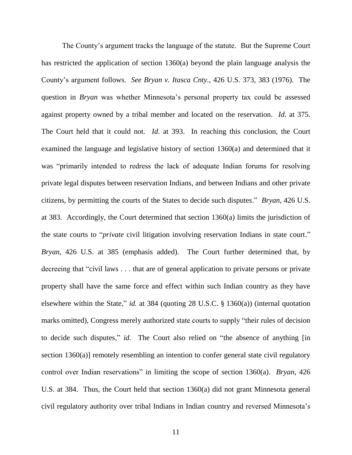The County's argument tracks the language of the statute. But the Supreme Court has restricted the application of section 1360(a) beyond the plain language analysis the County's argument follows. *See Bryan v. Itasca Cnty.*, 426 U.S. 373, 383 (1976). The question in *Bryan* was whether Minnesota's personal property tax could be assessed against property owned by a tribal member and located on the reservation. *Id*. at 375. The Court held that it could not. *Id*. at 393. In reaching this conclusion, the Court examined the language and legislative history of section 1360(a) and determined that it was "primarily intended to redress the lack of adequate Indian forums for resolving private legal disputes between reservation Indians, and between Indians and other private citizens, by permitting the courts of the States to decide such disputes." *Bryan*, 426 U.S. at 383. Accordingly, the Court determined that section 1360(a) limits the jurisdiction of the state courts to "*private* civil litigation involving reservation Indians in state court." *Bryan*, 426 U.S. at 385 (emphasis added). The Court further determined that, by decreeing that "civil laws . . . that are of general application to private persons or private property shall have the same force and effect within such Indian country as they have elsewhere within the State," *id.* at 384 (quoting 28 U.S.C. § 1360(a)) (internal quotation marks omitted), Congress merely authorized state courts to supply "their rules of decision to decide such disputes," *id.* The Court also relied on "the absence of anything [in section 1360(a)] remotely resembling an intention to confer general state civil regulatory control over Indian reservations" in limiting the scope of section 1360(a). *Bryan*, 426 U.S. at 384. Thus, the Court held that section 1360(a) did not grant Minnesota general civil regulatory authority over tribal Indians in Indian country and reversed Minnesota's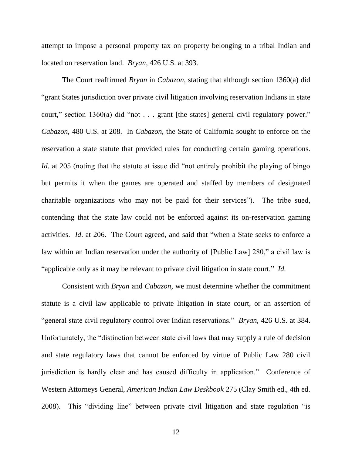attempt to impose a personal property tax on property belonging to a tribal Indian and located on reservation land. *Bryan*, 426 U.S. at 393.

The Court reaffirmed *Bryan* in *Cabazon*, stating that although section 1360(a) did "grant States jurisdiction over private civil litigation involving reservation Indians in state court," section 1360(a) did "not . . . grant [the states] general civil regulatory power." *Cabazon*, 480 U.S. at 208. In *Cabazon*, the State of California sought to enforce on the reservation a state statute that provided rules for conducting certain gaming operations. *Id.* at 205 (noting that the statute at issue did "not entirely prohibit the playing of bingo but permits it when the games are operated and staffed by members of designated charitable organizations who may not be paid for their services"). The tribe sued, contending that the state law could not be enforced against its on-reservation gaming activities. *Id*. at 206. The Court agreed, and said that "when a State seeks to enforce a law within an Indian reservation under the authority of [Public Law] 280," a civil law is "applicable only as it may be relevant to private civil litigation in state court." *Id.* 

Consistent with *Bryan* and *Cabazon*, we must determine whether the commitment statute is a civil law applicable to private litigation in state court, or an assertion of "general state civil regulatory control over Indian reservations." *Bryan*, 426 U.S. at 384. Unfortunately, the "distinction between state civil laws that may supply a rule of decision and state regulatory laws that cannot be enforced by virtue of Public Law 280 civil jurisdiction is hardly clear and has caused difficulty in application." Conference of Western Attorneys General, *American Indian Law Deskbook* 275 (Clay Smith ed., 4th ed. 2008). This "dividing line" between private civil litigation and state regulation "is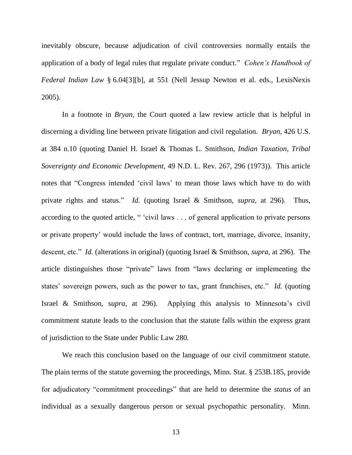inevitably obscure, because adjudication of civil controversies normally entails the application of a body of legal rules that regulate private conduct." *Cohen's Handbook of Federal Indian Law* § 6.04[3][b], at 551 (Nell Jessup Newton et al. eds., LexisNexis 2005).

In a footnote in *Bryan*, the Court quoted a law review article that is helpful in discerning a dividing line between private litigation and civil regulation. *Bryan*, 426 U.S. at 384 n.10 (quoting Daniel H. Israel & Thomas L. Smithson, *Indian Taxation, Tribal Sovereignty and Economic Development*, 49 N.D. L. Rev. 267, 296 (1973)). This article notes that "Congress intended 'civil laws' to mean those laws which have to do with private rights and status." *Id.* (quoting Israel & Smithson, *supra*, at 296). Thus, according to the quoted article, " 'civil laws . . . of general application to private persons or private property' would include the laws of contract, tort, marriage, divorce, insanity, descent, etc." *Id.* (alterations in original) (quoting Israel & Smithson, *supra*, at 296). The article distinguishes those "private" laws from "laws declaring or implementing the states' sovereign powers, such as the power to tax, grant franchises, etc." *Id.* (quoting Israel & Smithson, *supra*, at 296). Applying this analysis to Minnesota's civil commitment statute leads to the conclusion that the statute falls within the express grant of jurisdiction to the State under Public Law 280.

We reach this conclusion based on the language of our civil commitment statute. The plain terms of the statute governing the proceedings, Minn. Stat. § 253B.185, provide for adjudicatory "commitment proceedings" that are held to determine the *status* of an individual as a sexually dangerous person or sexual psychopathic personality. Minn.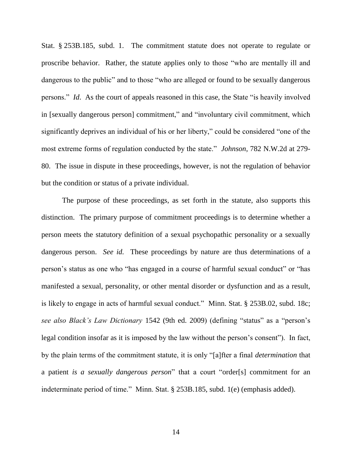Stat. § 253B.185, subd. 1. The commitment statute does not operate to regulate or proscribe behavior. Rather, the statute applies only to those "who are mentally ill and dangerous to the public" and to those "who are alleged or found to be sexually dangerous persons." *Id*. As the court of appeals reasoned in this case, the State "is heavily involved in [sexually dangerous person] commitment," and "involuntary civil commitment, which significantly deprives an individual of his or her liberty," could be considered "one of the most extreme forms of regulation conducted by the state." *Johnson*, 782 N.W.2d at 279- 80. The issue in dispute in these proceedings, however, is not the regulation of behavior but the condition or status of a private individual.

The purpose of these proceedings, as set forth in the statute, also supports this distinction. The primary purpose of commitment proceedings is to determine whether a person meets the statutory definition of a sexual psychopathic personality or a sexually dangerous person. *See id.* These proceedings by nature are thus determinations of a person's status as one who "has engaged in a course of harmful sexual conduct" or "has manifested a sexual, personality, or other mental disorder or dysfunction and as a result, is likely to engage in acts of harmful sexual conduct." Minn. Stat. § 253B.02, subd. 18c; *see also Black's Law Dictionary* 1542 (9th ed. 2009) (defining "status" as a "person's legal condition insofar as it is imposed by the law without the person's consent"). In fact, by the plain terms of the commitment statute, it is only "[a]fter a final *determination* that a patient *is a sexually dangerous person*" that a court "order[s] commitment for an indeterminate period of time." Minn. Stat. § 253B.185, subd. 1(e) (emphasis added).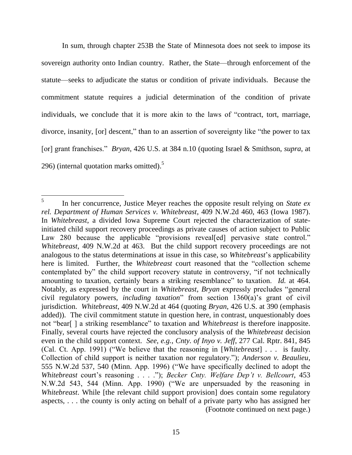In sum, through chapter 253B the State of Minnesota does not seek to impose its sovereign authority onto Indian country. Rather, the State—through enforcement of the statute—seeks to adjudicate the status or condition of private individuals. Because the commitment statute requires a judicial determination of the condition of private individuals, we conclude that it is more akin to the laws of "contract, tort, marriage, divorce, insanity, [or] descent," than to an assertion of sovereignty like "the power to tax [or] grant franchises." *Bryan*, 426 U.S. at 384 n.10 (quoting Israel & Smithson, *supra*, at 296) (internal quotation marks omitted).<sup>5</sup>

 $\overline{a}$ 5 In her concurrence, Justice Meyer reaches the opposite result relying on *State ex rel. Department of Human Services v. Whitebreast*, 409 N.W.2d 460, 463 (Iowa 1987). In *Whitebreast*, a divided Iowa Supreme Court rejected the characterization of stateinitiated child support recovery proceedings as private causes of action subject to Public Law 280 because the applicable "provisions reveal[ed] pervasive state control." *Whitebreast*, 409 N.W.2d at 463. But the child support recovery proceedings are not analogous to the status determinations at issue in this case, so *Whitebreast*'s applicability here is limited. Further, the *Whitebreast* court reasoned that the "collection scheme contemplated by" the child support recovery statute in controversy, "if not technically amounting to taxation, certainly bears a striking resemblance" to taxation. *Id.* at 464. Notably, as expressed by the court in *Whitebreast*, *Bryan* expressly precludes "general civil regulatory powers, *including taxation*" from section 1360(a)'s grant of civil jurisdiction. *Whitebreast*, 409 N.W.2d at 464 (quoting *Bryan*, 426 U.S. at 390 (emphasis added)). The civil commitment statute in question here, in contrast, unquestionably does not "bear[ ] a striking resemblance" to taxation and *Whitebreast* is therefore inapposite. Finally, several courts have rejected the conclusory analysis of the *Whitebreast* decision even in the child support context. *See, e.g.*, *Cnty. of Inyo v. Jeff*, 277 Cal. Rptr. 841, 845 (Cal. Ct. App. 1991) ("We believe that the reasoning in [*Whitebreast*] . . . is faulty. Collection of child support is neither taxation nor regulatory."); *Anderson v. Beaulieu*, 555 N.W.2d 537, 540 (Minn. App. 1996) ("We have specifically declined to adopt the *Whitebreast* court's reasoning . . . ."); *Becker Cnty. Welfare Dep't v. Bellcourt*, 453 N.W.2d 543, 544 (Minn. App. 1990) ("We are unpersuaded by the reasoning in *Whitebreast*. While [the relevant child support provision] does contain some regulatory aspects, . . . the county is only acting on behalf of a private party who has assigned her (Footnote continued on next page.)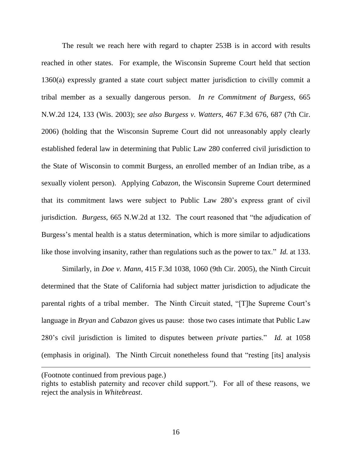The result we reach here with regard to chapter 253B is in accord with results reached in other states. For example, the Wisconsin Supreme Court held that section 1360(a) expressly granted a state court subject matter jurisdiction to civilly commit a tribal member as a sexually dangerous person. *In re Commitment of Burgess*, 665 N.W.2d 124, 133 (Wis. 2003); *see also Burgess v. Watters*, 467 F.3d 676, 687 (7th Cir. 2006) (holding that the Wisconsin Supreme Court did not unreasonably apply clearly established federal law in determining that Public Law 280 conferred civil jurisdiction to the State of Wisconsin to commit Burgess, an enrolled member of an Indian tribe, as a sexually violent person). Applying *Cabazon*, the Wisconsin Supreme Court determined that its commitment laws were subject to Public Law 280's express grant of civil jurisdiction. *Burgess*, 665 N.W.2d at 132. The court reasoned that "the adjudication of Burgess's mental health is a status determination, which is more similar to adjudications like those involving insanity, rather than regulations such as the power to tax." *Id.* at 133.

Similarly, in *Doe v. Mann*, 415 F.3d 1038, 1060 (9th Cir. 2005), the Ninth Circuit determined that the State of California had subject matter jurisdiction to adjudicate the parental rights of a tribal member. The Ninth Circuit stated, "[T]he Supreme Court's language in *Bryan* and *Cabazon* gives us pause: those two cases intimate that Public Law 280's civil jurisdiction is limited to disputes between *private* parties." *Id.* at 1058 (emphasis in original). The Ninth Circuit nonetheless found that "resting [its] analysis

<sup>(</sup>Footnote continued from previous page.)

rights to establish paternity and recover child support."). For all of these reasons, we reject the analysis in *Whitebreast*.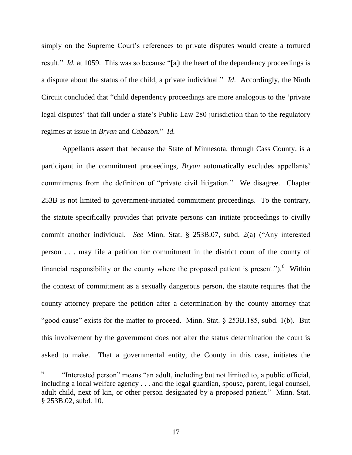simply on the Supreme Court's references to private disputes would create a tortured result." *Id.* at 1059. This was so because "[a]t the heart of the dependency proceedings is a dispute about the status of the child, a private individual." *Id*. Accordingly, the Ninth Circuit concluded that "child dependency proceedings are more analogous to the 'private legal disputes' that fall under a state's Public Law 280 jurisdiction than to the regulatory regimes at issue in *Bryan* and *Cabazon*." *Id.*

Appellants assert that because the State of Minnesota, through Cass County, is a participant in the commitment proceedings, *Bryan* automatically excludes appellants' commitments from the definition of "private civil litigation." We disagree. Chapter 253B is not limited to government-initiated commitment proceedings. To the contrary, the statute specifically provides that private persons can initiate proceedings to civilly commit another individual. *See* Minn. Stat. § 253B.07, subd. 2(a) ("Any interested person . . . may file a petition for commitment in the district court of the county of financial responsibility or the county where the proposed patient is present."). <sup>6</sup> Within the context of commitment as a sexually dangerous person, the statute requires that the county attorney prepare the petition after a determination by the county attorney that "good cause" exists for the matter to proceed. Minn. Stat. § 253B.185, subd. 1(b). But this involvement by the government does not alter the status determination the court is asked to make. That a governmental entity, the County in this case, initiates the

<sup>6</sup> "Interested person" means "an adult, including but not limited to, a public official, including a local welfare agency . . . and the legal guardian, spouse, parent, legal counsel, adult child, next of kin, or other person designated by a proposed patient." Minn. Stat. § 253B.02, subd. 10.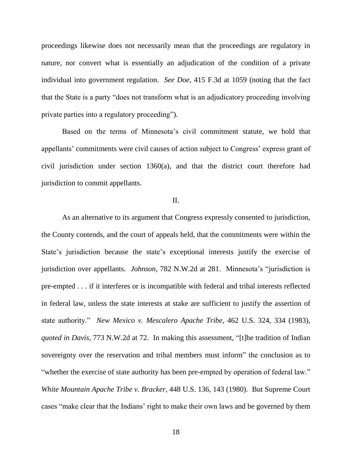proceedings likewise does not necessarily mean that the proceedings are regulatory in nature, nor convert what is essentially an adjudication of the condition of a private individual into government regulation. *See Doe*, 415 F.3d at 1059 (noting that the fact that the State is a party "does not transform what is an adjudicatory proceeding involving private parties into a regulatory proceeding").

Based on the terms of Minnesota's civil commitment statute, we hold that appellants' commitments were civil causes of action subject to Congress' express grant of civil jurisdiction under section 1360(a), and that the district court therefore had jurisdiction to commit appellants.

## II.

As an alternative to its argument that Congress expressly consented to jurisdiction, the County contends, and the court of appeals held, that the commitments were within the State's jurisdiction because the state's exceptional interests justify the exercise of jurisdiction over appellants. *Johnson*, 782 N.W.2d at 281. Minnesota's "jurisdiction is pre-empted . . . if it interferes or is incompatible with federal and tribal interests reflected in federal law, unless the state interests at stake are sufficient to justify the assertion of state authority." *New Mexico v. Mescalero Apache Tribe*, 462 U.S. 324, 334 (1983), *quoted in Davis*, 773 N.W.2d at 72. In making this assessment, "[t]he tradition of Indian sovereignty over the reservation and tribal members must inform" the conclusion as to "whether the exercise of state authority has been pre-empted by operation of federal law." *White Mountain Apache Tribe v. Bracker*, 448 U.S. 136, 143 (1980). But Supreme Court cases "make clear that the Indians' right to make their own laws and be governed by them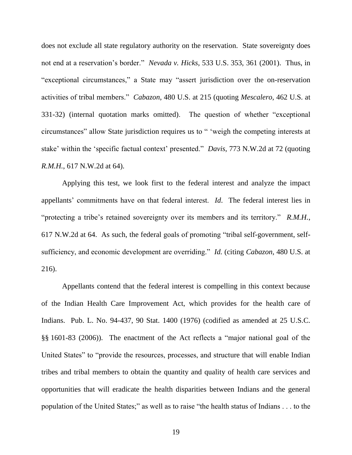does not exclude all state regulatory authority on the reservation. State sovereignty does not end at a reservation's border." *Nevada v. Hicks*, 533 U.S. 353, 361 (2001). Thus, in "exceptional circumstances," a State may "assert jurisdiction over the on-reservation activities of tribal members." *Cabazon*, 480 U.S. at 215 (quoting *Mescalero*, 462 U.S. at 331-32) (internal quotation marks omitted). The question of whether "exceptional circumstances" allow State jurisdiction requires us to " 'weigh the competing interests at stake' within the 'specific factual context' presented." *Davis*, 773 N.W.2d at 72 (quoting *R.M.H.*, 617 N.W.2d at 64).

Applying this test, we look first to the federal interest and analyze the impact appellants' commitments have on that federal interest. *Id*. The federal interest lies in "protecting a tribe's retained sovereignty over its members and its territory." *R.M.H.*, 617 N.W.2d at 64. As such, the federal goals of promoting "tribal self-government, selfsufficiency, and economic development are overriding." *Id.* (citing *Cabazon*, 480 U.S. at 216).

Appellants contend that the federal interest is compelling in this context because of the Indian Health Care Improvement Act, which provides for the health care of Indians. Pub. L. No. 94-437, 90 Stat. 1400 (1976) (codified as amended at 25 U.S.C. §§ 1601-83 (2006)). The enactment of the Act reflects a "major national goal of the United States" to "provide the resources, processes, and structure that will enable Indian tribes and tribal members to obtain the quantity and quality of health care services and opportunities that will eradicate the health disparities between Indians and the general population of the United States;" as well as to raise "the health status of Indians . . . to the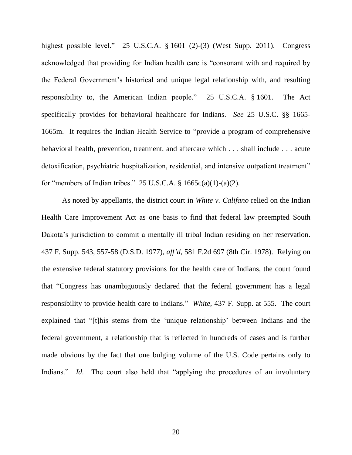highest possible level." 25 U.S.C.A. § 1601 (2)-(3) (West Supp. 2011). Congress acknowledged that providing for Indian health care is "consonant with and required by the Federal Government's historical and unique legal relationship with, and resulting responsibility to, the American Indian people." 25 U.S.C.A. § 1601. The Act specifically provides for behavioral healthcare for Indians. *See* 25 U.S.C. §§ 1665- 1665m. It requires the Indian Health Service to "provide a program of comprehensive behavioral health, prevention, treatment, and aftercare which . . . shall include . . . acute detoxification, psychiatric hospitalization, residential, and intensive outpatient treatment" for "members of Indian tribes." 25 U.S.C.A.  $\S$  1665c(a)(1)-(a)(2).

As noted by appellants, the district court in *White v. Califano* relied on the Indian Health Care Improvement Act as one basis to find that federal law preempted South Dakota's jurisdiction to commit a mentally ill tribal Indian residing on her reservation. 437 F. Supp. 543, 557-58 (D.S.D. 1977), *aff'd*, 581 F.2d 697 (8th Cir. 1978). Relying on the extensive federal statutory provisions for the health care of Indians, the court found that "Congress has unambiguously declared that the federal government has a legal responsibility to provide health care to Indians." *White*, 437 F. Supp. at 555. The court explained that "[t]his stems from the 'unique relationship' between Indians and the federal government, a relationship that is reflected in hundreds of cases and is further made obvious by the fact that one bulging volume of the U.S. Code pertains only to Indians." *Id*. The court also held that "applying the procedures of an involuntary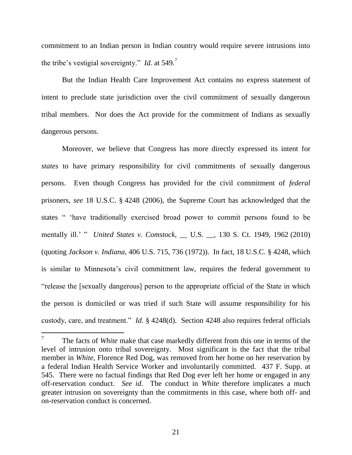commitment to an Indian person in Indian country would require severe intrusions into the tribe's vestigial sovereignty." *Id.* at 549.<sup>7</sup>

But the Indian Health Care Improvement Act contains no express statement of intent to preclude state jurisdiction over the civil commitment of sexually dangerous tribal members. Nor does the Act provide for the commitment of Indians as sexually dangerous persons.

Moreover, we believe that Congress has more directly expressed its intent for *states* to have primary responsibility for civil commitments of sexually dangerous persons. Even though Congress has provided for the civil commitment of *federal* prisoners, *see* 18 U.S.C. § 4248 (2006), the Supreme Court has acknowledged that the states " 'have traditionally exercised broad power to commit persons found to be mentally ill.' " *United States v. Comstock*, \_\_ U.S. \_\_, 130 S. Ct. 1949, 1962 (2010) (quoting *Jackson v. Indiana*, 406 U.S. 715, 736 (1972)). In fact, 18 U.S.C. § 4248, which is similar to Minnesota's civil commitment law, requires the federal government to "release the [sexually dangerous] person to the appropriate official of the State in which the person is domiciled or was tried if such State will assume responsibility for his custody, care, and treatment." *Id.* § 4248(d). Section 4248 also requires federal officials

 $\overline{a}$ 

<sup>7</sup> The facts of *White* make that case markedly different from this one in terms of the level of intrusion onto tribal sovereignty. Most significant is the fact that the tribal member in *White*, Florence Red Dog, was removed from her home on her reservation by a federal Indian Health Service Worker and involuntarily committed. 437 F. Supp. at 545. There were no factual findings that Red Dog ever left her home or engaged in any off-reservation conduct. *See id.* The conduct in *White* therefore implicates a much greater intrusion on sovereignty than the commitments in this case, where both off- and on-reservation conduct is concerned.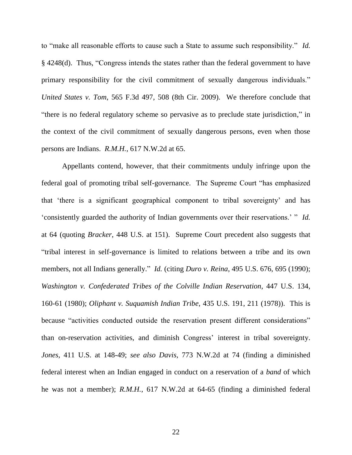to "make all reasonable efforts to cause such a State to assume such responsibility." *Id.* § 4248(d). Thus, "Congress intends the states rather than the federal government to have primary responsibility for the civil commitment of sexually dangerous individuals." *United States v. Tom*, 565 F.3d 497, 508 (8th Cir. 2009). We therefore conclude that "there is no federal regulatory scheme so pervasive as to preclude state jurisdiction," in the context of the civil commitment of sexually dangerous persons, even when those persons are Indians. *R.M.H.*, 617 N.W.2d at 65.

Appellants contend, however, that their commitments unduly infringe upon the federal goal of promoting tribal self-governance. The Supreme Court "has emphasized that 'there is a significant geographical component to tribal sovereignty' and has 'consistently guarded the authority of Indian governments over their reservations.' " *Id.* at 64 (quoting *Bracker*, 448 U.S. at 151). Supreme Court precedent also suggests that "tribal interest in self-governance is limited to relations between a tribe and its own members, not all Indians generally." *Id.* (citing *Duro v. Reina*, 495 U.S. 676, 695 (1990); *Washington v. Confederated Tribes of the Colville Indian Reservation*, 447 U.S. 134, 160-61 (1980); *Oliphant v. Suquamish Indian Tribe*, 435 U.S. 191, 211 (1978)). This is because "activities conducted outside the reservation present different considerations" than on-reservation activities, and diminish Congress' interest in tribal sovereignty. *Jones*, 411 U.S. at 148-49; *see also Davis*, 773 N.W.2d at 74 (finding a diminished federal interest when an Indian engaged in conduct on a reservation of a *band* of which he was not a member); *R.M.H.*, 617 N.W.2d at 64-65 (finding a diminished federal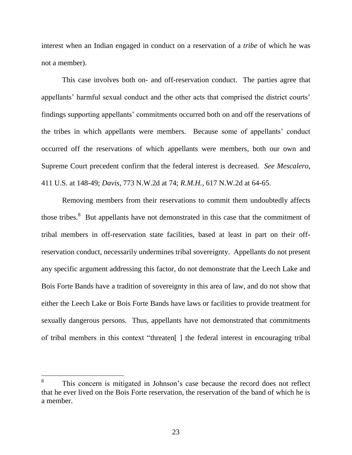interest when an Indian engaged in conduct on a reservation of a *tribe* of which he was not a member).

This case involves both on- and off-reservation conduct. The parties agree that appellants' harmful sexual conduct and the other acts that comprised the district courts' findings supporting appellants' commitments occurred both on and off the reservations of the tribes in which appellants were members. Because some of appellants' conduct occurred off the reservations of which appellants were members, both our own and Supreme Court precedent confirm that the federal interest is decreased. *See Mescalero*, 411 U.S. at 148-49; *Davis*, 773 N.W.2d at 74; *R.M.H.*, 617 N.W.2d at 64-65.

Removing members from their reservations to commit them undoubtedly affects those tribes.<sup>8</sup> But appellants have not demonstrated in this case that the commitment of tribal members in off-reservation state facilities, based at least in part on their offreservation conduct, necessarily undermines tribal sovereignty. Appellants do not present any specific argument addressing this factor, do not demonstrate that the Leech Lake and Bois Forte Bands have a tradition of sovereignty in this area of law, and do not show that either the Leech Lake or Bois Forte Bands have laws or facilities to provide treatment for sexually dangerous persons. Thus, appellants have not demonstrated that commitments of tribal members in this context "threaten[ ] the federal interest in encouraging tribal

<sup>8</sup> This concern is mitigated in Johnson's case because the record does not reflect that he ever lived on the Bois Forte reservation, the reservation of the band of which he is a member.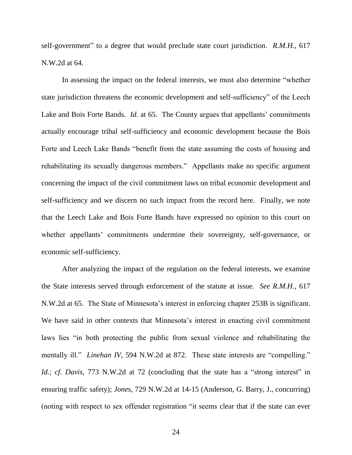self-government" to a degree that would preclude state court jurisdiction. *R.M.H.*, 617 N.W.2d at 64.

In assessing the impact on the federal interests, we must also determine "whether state jurisdiction threatens the economic development and self-sufficiency" of the Leech Lake and Bois Forte Bands. *Id.* at 65. The County argues that appellants' commitments actually encourage tribal self-sufficiency and economic development because the Bois Forte and Leech Lake Bands "benefit from the state assuming the costs of housing and rehabilitating its sexually dangerous members." Appellants make no specific argument concerning the impact of the civil commitment laws on tribal economic development and self-sufficiency and we discern no such impact from the record here. Finally, we note that the Leech Lake and Bois Forte Bands have expressed no opinion to this court on whether appellants' commitments undermine their sovereignty, self-governance, or economic self-sufficiency.

After analyzing the impact of the regulation on the federal interests, we examine the State interests served through enforcement of the statute at issue. *See R.M.H.*, 617 N.W.2d at 65. The State of Minnesota's interest in enforcing chapter 253B is significant. We have said in other contexts that Minnesota's interest in enacting civil commitment laws lies "in both protecting the public from sexual violence and rehabilitating the mentally ill." *Linehan IV*, 594 N.W.2d at 872. These state interests are "compelling." *Id.*; *cf. Davis*, 773 N.W.2d at 72 (concluding that the state has a "strong interest" in ensuring traffic safety); *Jones*, 729 N.W.2d at 14-15 (Anderson, G. Barry, J., concurring) (noting with respect to sex offender registration "it seems clear that if the state can ever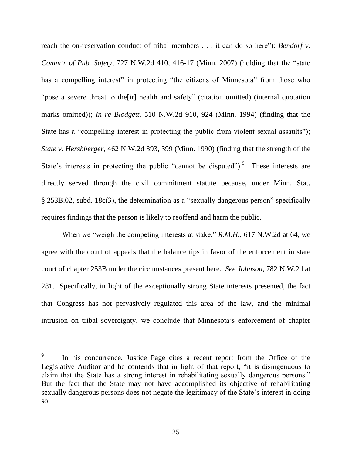reach the on-reservation conduct of tribal members . . . it can do so here"); *Bendorf v. Comm'r of Pub. Safety*, 727 N.W.2d 410, 416-17 (Minn. 2007) (holding that the "state has a compelling interest" in protecting "the citizens of Minnesota" from those who "pose a severe threat to the[ir] health and safety" (citation omitted) (internal quotation marks omitted)); *In re Blodgett*, 510 N.W.2d 910, 924 (Minn. 1994) (finding that the State has a "compelling interest in protecting the public from violent sexual assaults"); *State v. Hershberger*, 462 N.W.2d 393, 399 (Minn. 1990) (finding that the strength of the State's interests in protecting the public "cannot be disputed"). These interests are directly served through the civil commitment statute because, under Minn. Stat. § 253B.02, subd. 18c(3), the determination as a "sexually dangerous person" specifically requires findings that the person is likely to reoffend and harm the public.

When we "weigh the competing interests at stake," *R.M.H.*, 617 N.W.2d at 64, we agree with the court of appeals that the balance tips in favor of the enforcement in state court of chapter 253B under the circumstances present here. *See Johnson*, 782 N.W.2d at 281. Specifically, in light of the exceptionally strong State interests presented, the fact that Congress has not pervasively regulated this area of the law, and the minimal intrusion on tribal sovereignty, we conclude that Minnesota's enforcement of chapter

<sup>9</sup> In his concurrence, Justice Page cites a recent report from the Office of the Legislative Auditor and he contends that in light of that report, "it is disingenuous to claim that the State has a strong interest in rehabilitating sexually dangerous persons." But the fact that the State may not have accomplished its objective of rehabilitating sexually dangerous persons does not negate the legitimacy of the State's interest in doing so.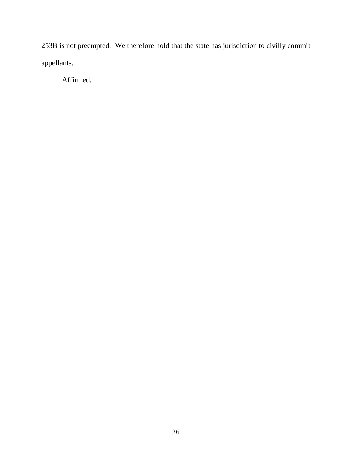253B is not preempted. We therefore hold that the state has jurisdiction to civilly commit appellants.

Affirmed.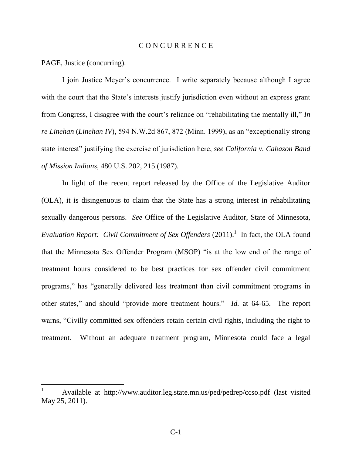#### C O N C U R R E N C E

PAGE, Justice (concurring).

I join Justice Meyer's concurrence. I write separately because although I agree with the court that the State's interests justify jurisdiction even without an express grant from Congress, I disagree with the court's reliance on "rehabilitating the mentally ill," *In re Linehan* (*Linehan IV*), 594 N.W.2d 867, 872 (Minn. 1999), as an "exceptionally strong state interest" justifying the exercise of jurisdiction here, *see California v. Cabazon Band of Mission Indians*, 480 U.S. 202, 215 (1987).

In light of the recent report released by the Office of the Legislative Auditor (OLA), it is disingenuous to claim that the State has a strong interest in rehabilitating sexually dangerous persons. *See* Office of the Legislative Auditor, State of Minnesota, *Evaluation Report: Civil Commitment of Sex Offenders*  $(2011)$ .<sup>1</sup> In fact, the OLA found that the Minnesota Sex Offender Program (MSOP) "is at the low end of the range of treatment hours considered to be best practices for sex offender civil commitment programs," has "generally delivered less treatment than civil commitment programs in other states," and should "provide more treatment hours." *Id.* at 64-65. The report warns, "Civilly committed sex offenders retain certain civil rights, including the right to treatment. Without an adequate treatment program, Minnesota could face a legal

<sup>1</sup> Available at http://www.auditor.leg.state.mn.us/ped/pedrep/ccso.pdf (last visited May 25, 2011).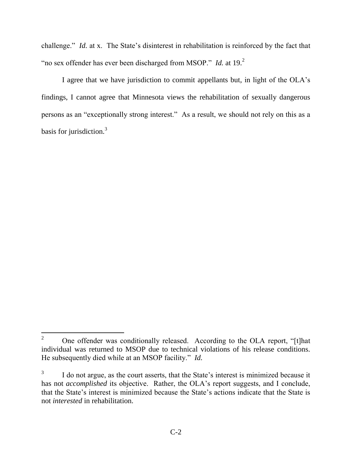challenge." *Id.* at x. The State's disinterest in rehabilitation is reinforced by the fact that "no sex offender has ever been discharged from MSOP." *Id.* at 19.<sup>2</sup>

I agree that we have jurisdiction to commit appellants but, in light of the OLA's findings, I cannot agree that Minnesota views the rehabilitation of sexually dangerous persons as an "exceptionally strong interest." As a result, we should not rely on this as a basis for jurisdiction.<sup>3</sup>

 $\overline{2}$ <sup>2</sup> One offender was conditionally released. According to the OLA report, "[t]hat individual was returned to MSOP due to technical violations of his release conditions. He subsequently died while at an MSOP facility." *Id.*

<sup>3</sup> I do not argue, as the court asserts, that the State's interest is minimized because it has not *accomplished* its objective. Rather, the OLA's report suggests, and I conclude, that the State's interest is minimized because the State's actions indicate that the State is not *interested* in rehabilitation.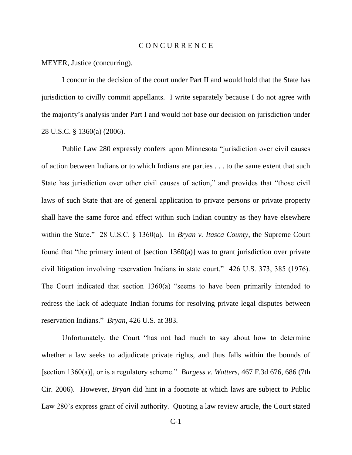#### C O N C U R R E N C E

MEYER, Justice (concurring).

I concur in the decision of the court under Part II and would hold that the State has jurisdiction to civilly commit appellants. I write separately because I do not agree with the majority's analysis under Part I and would not base our decision on jurisdiction under 28 U.S.C. § 1360(a) (2006).

Public Law 280 expressly confers upon Minnesota "jurisdiction over civil causes of action between Indians or to which Indians are parties . . . to the same extent that such State has jurisdiction over other civil causes of action," and provides that "those civil laws of such State that are of general application to private persons or private property shall have the same force and effect within such Indian country as they have elsewhere within the State." 28 U.S.C. § 1360(a). In *Bryan v. Itasca County*, the Supreme Court found that "the primary intent of [section 1360(a)] was to grant jurisdiction over private civil litigation involving reservation Indians in state court." 426 U.S. 373, 385 (1976). The Court indicated that section 1360(a) "seems to have been primarily intended to redress the lack of adequate Indian forums for resolving private legal disputes between reservation Indians." *Bryan*, 426 U.S. at 383.

Unfortunately, the Court "has not had much to say about how to determine whether a law seeks to adjudicate private rights, and thus falls within the bounds of [section 1360(a)], or is a regulatory scheme." *Burgess v. Watters*, 467 F.3d 676, 686 (7th Cir. 2006). However, *Bryan* did hint in a footnote at which laws are subject to Public Law 280's express grant of civil authority. Quoting a law review article, the Court stated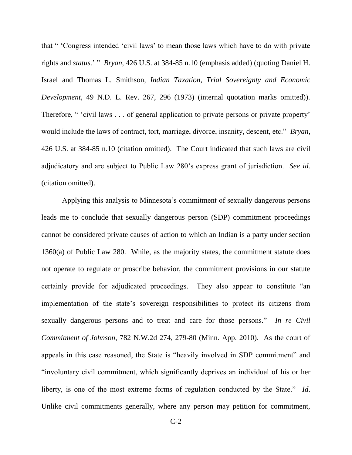that " 'Congress intended 'civil laws' to mean those laws which have to do with private rights and *status*.' " *Bryan*, 426 U.S. at 384-85 n.10 (emphasis added) (quoting Daniel H. Israel and Thomas L. Smithson, *Indian Taxation, Trial Sovereignty and Economic Development*, 49 N.D. L. Rev. 267, 296 (1973) (internal quotation marks omitted)). Therefore, " 'civil laws . . . of general application to private persons or private property' would include the laws of contract, tort, marriage, divorce, insanity, descent, etc." *Bryan*, 426 U.S. at 384-85 n.10 (citation omitted). The Court indicated that such laws are civil adjudicatory and are subject to Public Law 280's express grant of jurisdiction. *See id.* (citation omitted).

Applying this analysis to Minnesota's commitment of sexually dangerous persons leads me to conclude that sexually dangerous person (SDP) commitment proceedings cannot be considered private causes of action to which an Indian is a party under section 1360(a) of Public Law 280. While, as the majority states, the commitment statute does not operate to regulate or proscribe behavior, the commitment provisions in our statute certainly provide for adjudicated proceedings. They also appear to constitute "an implementation of the state's sovereign responsibilities to protect its citizens from sexually dangerous persons and to treat and care for those persons." *In re Civil Commitment of Johnson*, 782 N.W.2d 274, 279-80 (Minn. App. 2010). As the court of appeals in this case reasoned, the State is "heavily involved in SDP commitment" and "involuntary civil commitment, which significantly deprives an individual of his or her liberty, is one of the most extreme forms of regulation conducted by the State." *Id*. Unlike civil commitments generally, where any person may petition for commitment,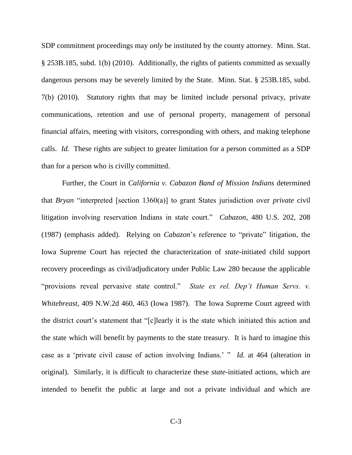SDP commitment proceedings may *only* be instituted by the county attorney. Minn. Stat. § 253B.185, subd. 1(b) (2010). Additionally, the rights of patients committed as sexually dangerous persons may be severely limited by the State. Minn. Stat. § 253B.185, subd. 7(b) (2010). Statutory rights that may be limited include personal privacy, private communications, retention and use of personal property, management of personal financial affairs, meeting with visitors, corresponding with others, and making telephone calls. *Id.* These rights are subject to greater limitation for a person committed as a SDP than for a person who is civilly committed.

Further, the Court in *California v. Cabazon Band of Mission Indians* determined that *Bryan* "interpreted [section 1360(a)] to grant States jurisdiction over *private* civil litigation involving reservation Indians in state court." *Cabazon*, 480 U.S. 202, 208 (1987) (emphasis added). Relying on *Cabazon*'s reference to "private" litigation, the Iowa Supreme Court has rejected the characterization of *state*-initiated child support recovery proceedings as civil/adjudicatory under Public Law 280 because the applicable "provisions reveal pervasive state control." *State ex rel. Dep't Human Servs. v. Whitebreast*, 409 N.W.2d 460, 463 (Iowa 1987). The Iowa Supreme Court agreed with the district court's statement that "[c]learly it is the state which initiated this action and the state which will benefit by payments to the state treasury. It is hard to imagine this case as a 'private civil cause of action involving Indians.' " *Id.* at 464 (alteration in original). Similarly, it is difficult to characterize these *state*-initiated actions, which are intended to benefit the public at large and not a private individual and which are